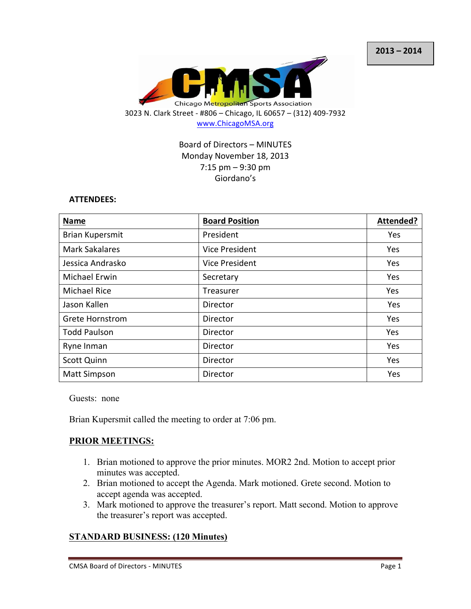

## Board of Directors - MINUTES Monday November 18, 2013  $7:15$  pm  $-9:30$  pm Giordano's

#### **ATTENDEES:**

| <b>Name</b>            | <b>Board Position</b> | Attended?  |
|------------------------|-----------------------|------------|
| <b>Brian Kupersmit</b> | President             | Yes        |
| <b>Mark Sakalares</b>  | Vice President        | Yes        |
| Jessica Andrasko       | Vice President        | <b>Yes</b> |
| Michael Erwin          | Secretary             | Yes        |
| <b>Michael Rice</b>    | Treasurer             | Yes        |
| Jason Kallen           | Director              | Yes        |
| <b>Grete Hornstrom</b> | Director              | Yes        |
| <b>Todd Paulson</b>    | Director              | Yes        |
| Ryne Inman             | Director              | Yes        |
| <b>Scott Quinn</b>     | Director              | Yes        |
| <b>Matt Simpson</b>    | Director              | Yes        |

Guests: none

Brian Kupersmit called the meeting to order at 7:06 pm.

### **PRIOR MEETINGS:**

- 1. Brian motioned to approve the prior minutes. MOR2 2nd. Motion to accept prior minutes was accepted.
- 2. Brian motioned to accept the Agenda. Mark motioned. Grete second. Motion to accept agenda was accepted.
- 3. Mark motioned to approve the treasurer's report. Matt second. Motion to approve the treasurer's report was accepted.

### **STANDARD BUSINESS: (120 Minutes)**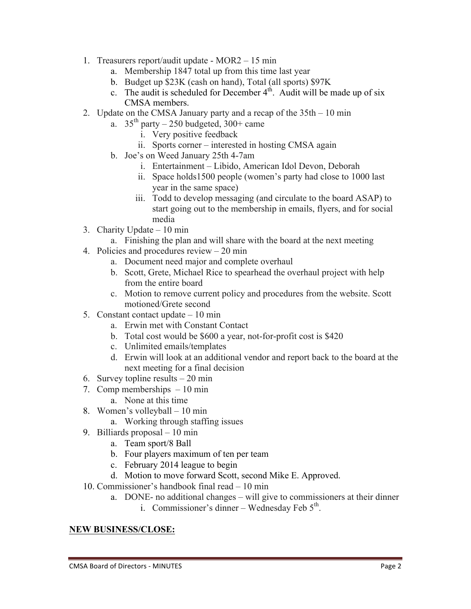- 1. Treasurers report/audit update MOR2 15 min
	- a. Membership 1847 total up from this time last year
	- b. Budget up \$23K (cash on hand), Total (all sports) \$97K
	- c. The audit is scheduled for December  $4<sup>th</sup>$ . Audit will be made up of six CMSA members.
- 2. Update on the CMSA January party and a recap of the 35th 10 min
	- a.  $35<sup>th</sup>$  party 250 budgeted, 300+ came
		- i. Very positive feedback
		- ii. Sports corner interested in hosting CMSA again
	- b. Joe's on Weed January 25th 4-7am
		- i. Entertainment Libido, American Idol Devon, Deborah
		- ii. Space holds1500 people (women's party had close to 1000 last year in the same space)
		- iii. Todd to develop messaging (and circulate to the board ASAP) to start going out to the membership in emails, flyers, and for social media
- 3. Charity Update 10 min
	- a. Finishing the plan and will share with the board at the next meeting
- 4. Policies and procedures review 20 min
	- a. Document need major and complete overhaul
	- b. Scott, Grete, Michael Rice to spearhead the overhaul project with help from the entire board
	- c. Motion to remove current policy and procedures from the website. Scott motioned/Grete second
- 5. Constant contact update 10 min
	- a. Erwin met with Constant Contact
	- b. Total cost would be \$600 a year, not-for-profit cost is \$420
	- c. Unlimited emails/templates
	- d. Erwin will look at an additional vendor and report back to the board at the next meeting for a final decision
- 6. Survey topline results  $-20$  min
- 7. Comp memberships 10 min
	- a. None at this time
- 8. Women's volleyball 10 min
	- a. Working through staffing issues
- 9. Billiards proposal 10 min
	- a. Team sport/8 Ball
	- b. Four players maximum of ten per team
	- c. February 2014 league to begin
	- d. Motion to move forward Scott, second Mike E. Approved.
- 10. Commissioner's handbook final read 10 min
	- a. DONE- no additional changes will give to commissioners at their dinner
		- i. Commissioner's dinner Wednesday Feb  $5<sup>th</sup>$ .

# **NEW BUSINESS/CLOSE:**